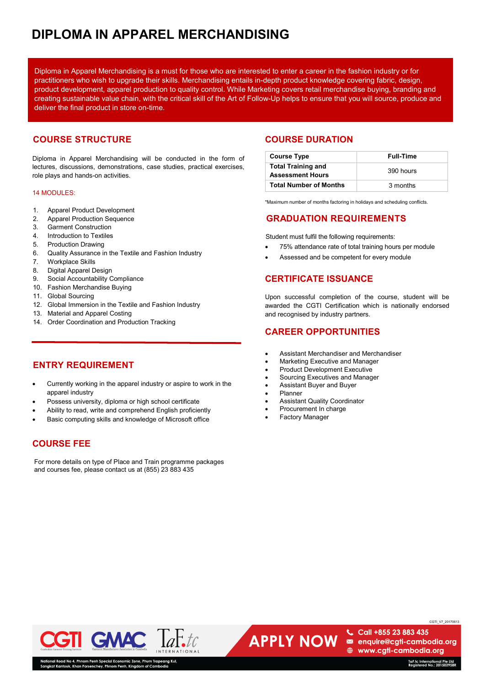# **DIPLOMA IN APPAREL MERCHANDISING**

Diploma in Apparel Merchandising is a must for those who are interested to enter a career in the fashion industry or for practitioners who wish to upgrade their skills. Merchandising entails in-depth product knowledge covering fabric, design, product development, apparel production to quality control. While Marketing covers retail merchandise buying, branding and creating sustainable value chain, with the critical skill of the Art of Follow-Up helps to ensure that you will source, produce and deliver the final product in store on-time.

## **COURSE STRUCTURE**

Diploma in Apparel Merchandising will be conducted in the form of lectures, discussions, demonstrations, case studies, practical exercises, role plays and hands-on activities.

### 14 MODULES:

- 1. Apparel Product Development
- 2. Apparel Production Sequence
- 3. Garment Construction
- 4. Introduction to Textiles
- 5. Production Drawing
- 6. Quality Assurance in the Textile and Fashion Industry
- 7. Workplace Skills
- 8. Digital Apparel Design
- 9. Social Accountability Compliance
- 10. Fashion Merchandise Buying
- 11. Global Sourcing
- 12. Global Immersion in the Textile and Fashion Industry
- 13. Material and Apparel Costing
- 14. Order Coordination and Production Tracking

## **ENTRY REQUIREMENT**

- Currently working in the apparel industry or aspire to work in the apparel industry
- Possess university, diploma or high school certificate
- Ability to read, write and comprehend English proficiently
- Basic computing skills and knowledge of Microsoft office

## **COURSE FEE**

For more details on type of Place and Train programme packages and courses fee, please contact us at (855) 23 883 435

## **COURSE DURATION**

| <b>Course Type</b>                                   | <b>Full-Time</b> |
|------------------------------------------------------|------------------|
| <b>Total Training and</b><br><b>Assessment Hours</b> | 390 hours        |
| <b>Total Number of Months</b>                        | 3 months         |

\*Maximum number of months factoring in holidays and scheduling conflicts.

## **GRADUATION REQUIREMENTS**

Student must fulfil the following requirements:

- 75% attendance rate of total training hours per module
- Assessed and be competent for every module

## **CERTIFICATE ISSUANCE**

Upon successful completion of the course, student will be awarded the CGTI Certification which is nationally endorsed and recognised by industry partners.

## **CAREER OPPORTUNITIES**

- Assistant Merchandiser and Merchandiser
- Marketing Executive and Manager
- Product Development Executive
- Sourcing Executives and Manager
- Assistant Buyer and Buyer
- Planner
- Assistant Quality Coordinator
- Procurement In charge
- **Factory Manager**

**APPLY NOW** 



⊕ www.cgti-cambodia.org

Call +855 23 883 435

enquire@cgti-cambodia.org

CGTI\_V7\_20170613